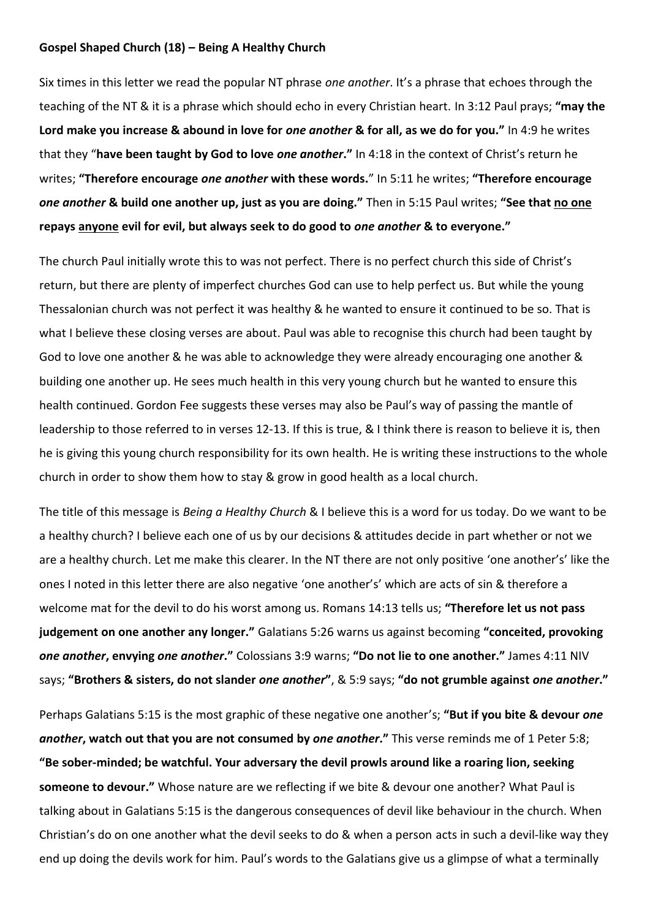### **Gospel Shaped Church (18) – Being A Healthy Church**

Six times in this letter we read the popular NT phrase *one another*. It's a phrase that echoes through the teaching of the NT & it is a phrase which should echo in every Christian heart. In 3:12 Paul prays; **"may the Lord make you increase & abound in love for** *one another* **& for all, as we do for you."** In 4:9 he writes that they "**have been taught by God to love** *one another***."** In 4:18 in the context of Christ's return he writes; **"Therefore encourage** *one another* **with these words.**" In 5:11 he writes; **"Therefore encourage**  *one another* **& build one another up, just as you are doing."** Then in 5:15 Paul writes; **"See that no one repays anyone evil for evil, but always seek to do good to** *one another* **& to everyone."** 

The church Paul initially wrote this to was not perfect. There is no perfect church this side of Christ's return, but there are plenty of imperfect churches God can use to help perfect us. But while the young Thessalonian church was not perfect it was healthy & he wanted to ensure it continued to be so. That is what I believe these closing verses are about. Paul was able to recognise this church had been taught by God to love one another & he was able to acknowledge they were already encouraging one another & building one another up. He sees much health in this very young church but he wanted to ensure this health continued. Gordon Fee suggests these verses may also be Paul's way of passing the mantle of leadership to those referred to in verses 12-13. If this is true, & I think there is reason to believe it is, then he is giving this young church responsibility for its own health. He is writing these instructions to the whole church in order to show them how to stay & grow in good health as a local church.

The title of this message is *Being a Healthy Church* & I believe this is a word for us today. Do we want to be a healthy church? I believe each one of us by our decisions & attitudes decide in part whether or not we are a healthy church. Let me make this clearer. In the NT there are not only positive 'one another's' like the ones I noted in this letter there are also negative 'one another's' which are acts of sin & therefore a welcome mat for the devil to do his worst among us. Romans 14:13 tells us; **"Therefore let us not pass judgement on one another any longer."** Galatians 5:26 warns us against becoming **"conceited, provoking**  *one another***, envying** *one another***."** Colossians 3:9 warns; **"Do not lie to one another."** James 4:11 NIV says; **"Brothers & sisters, do not slander** *one another***"**, & 5:9 says; **"do not grumble against** *one another***."**

Perhaps Galatians 5:15 is the most graphic of these negative one another's; **"But if you bite & devour** *one another***, watch out that you are not consumed by** *one another***."** This verse reminds me of 1 Peter 5:8; **"Be sober-minded; be watchful. Your adversary the devil prowls around like a roaring lion, seeking someone to devour."** Whose nature are we reflecting if we bite & devour one another? What Paul is talking about in Galatians 5:15 is the dangerous consequences of devil like behaviour in the church. When Christian's do on one another what the devil seeks to do & when a person acts in such a devil-like way they end up doing the devils work for him. Paul's words to the Galatians give us a glimpse of what a terminally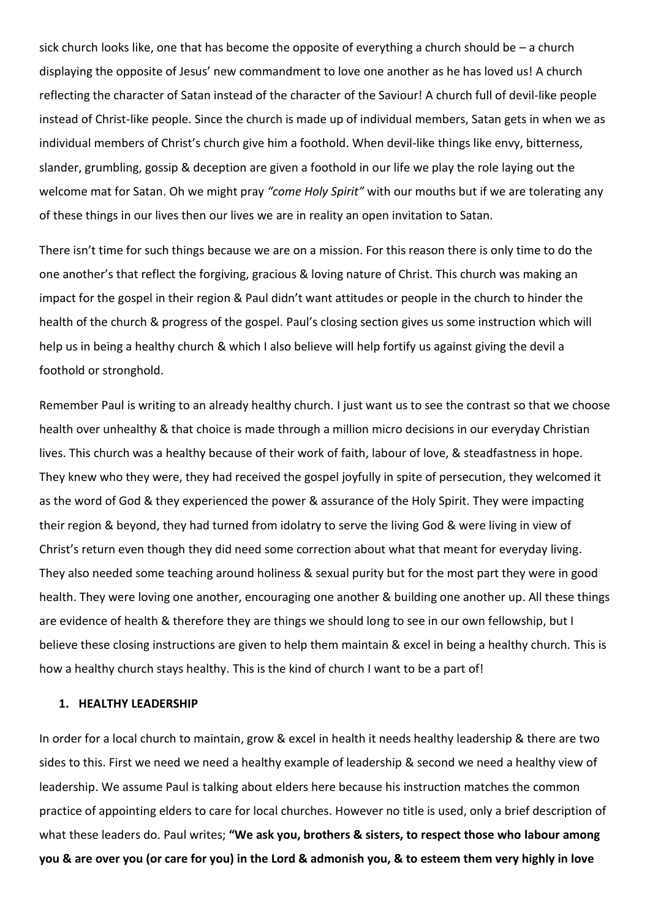sick church looks like, one that has become the opposite of everything a church should be – a church displaying the opposite of Jesus' new commandment to love one another as he has loved us! A church reflecting the character of Satan instead of the character of the Saviour! A church full of devil-like people instead of Christ-like people. Since the church is made up of individual members, Satan gets in when we as individual members of Christ's church give him a foothold. When devil-like things like envy, bitterness, slander, grumbling, gossip & deception are given a foothold in our life we play the role laying out the welcome mat for Satan. Oh we might pray *"come Holy Spirit"* with our mouths but if we are tolerating any of these things in our lives then our lives we are in reality an open invitation to Satan.

There isn't time for such things because we are on a mission. For this reason there is only time to do the one another's that reflect the forgiving, gracious & loving nature of Christ. This church was making an impact for the gospel in their region & Paul didn't want attitudes or people in the church to hinder the health of the church & progress of the gospel. Paul's closing section gives us some instruction which will help us in being a healthy church & which I also believe will help fortify us against giving the devil a foothold or stronghold.

Remember Paul is writing to an already healthy church. I just want us to see the contrast so that we choose health over unhealthy & that choice is made through a million micro decisions in our everyday Christian lives. This church was a healthy because of their work of faith, labour of love, & steadfastness in hope. They knew who they were, they had received the gospel joyfully in spite of persecution, they welcomed it as the word of God & they experienced the power & assurance of the Holy Spirit. They were impacting their region & beyond, they had turned from idolatry to serve the living God & were living in view of Christ's return even though they did need some correction about what that meant for everyday living. They also needed some teaching around holiness & sexual purity but for the most part they were in good health. They were loving one another, encouraging one another & building one another up. All these things are evidence of health & therefore they are things we should long to see in our own fellowship, but I believe these closing instructions are given to help them maintain & excel in being a healthy church. This is how a healthy church stays healthy. This is the kind of church I want to be a part of!

#### **1. HEALTHY LEADERSHIP**

In order for a local church to maintain, grow & excel in health it needs healthy leadership & there are two sides to this. First we need we need a healthy example of leadership & second we need a healthy view of leadership. We assume Paul is talking about elders here because his instruction matches the common practice of appointing elders to care for local churches. However no title is used, only a brief description of what these leaders do. Paul writes; **"We ask you, brothers & sisters, to respect those who labour among you & are over you (or care for you) in the Lord & admonish you, & to esteem them very highly in love**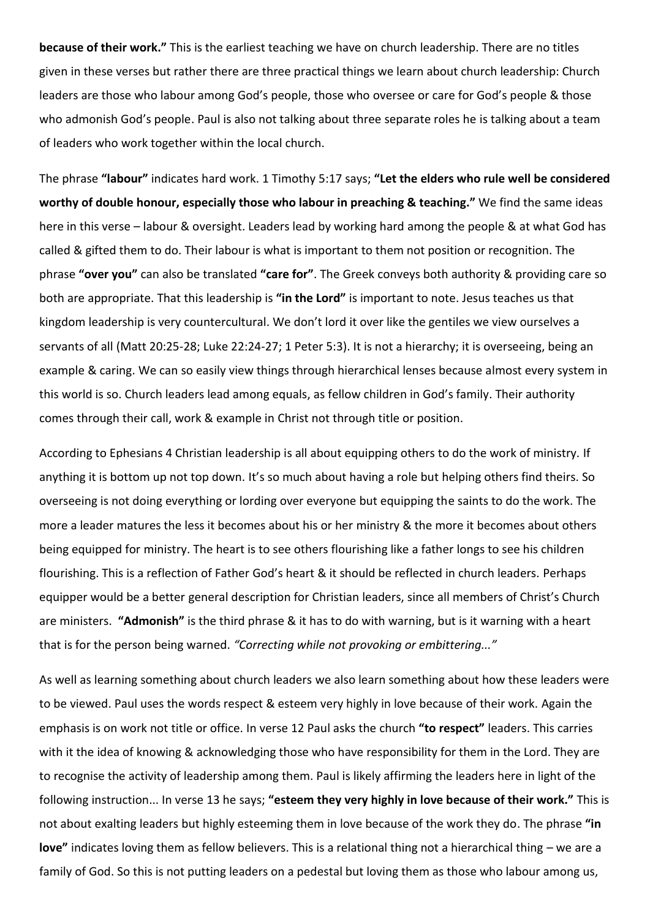**because of their work."** This is the earliest teaching we have on church leadership. There are no titles given in these verses but rather there are three practical things we learn about church leadership: Church leaders are those who labour among God's people, those who oversee or care for God's people & those who admonish God's people. Paul is also not talking about three separate roles he is talking about a team of leaders who work together within the local church.

The phrase **"labour"** indicates hard work. 1 Timothy 5:17 says; **"Let the elders who rule well be considered worthy of double honour, especially those who labour in preaching & teaching."** We find the same ideas here in this verse – labour & oversight. Leaders lead by working hard among the people & at what God has called & gifted them to do. Their labour is what is important to them not position or recognition. The phrase **"over you"** can also be translated **"care for"**. The Greek conveys both authority & providing care so both are appropriate. That this leadership is **"in the Lord"** is important to note. Jesus teaches us that kingdom leadership is very countercultural. We don't lord it over like the gentiles we view ourselves a servants of all (Matt 20:25-28; Luke 22:24-27; 1 Peter 5:3). It is not a hierarchy; it is overseeing, being an example & caring. We can so easily view things through hierarchical lenses because almost every system in this world is so. Church leaders lead among equals, as fellow children in God's family. Their authority comes through their call, work & example in Christ not through title or position.

According to Ephesians 4 Christian leadership is all about equipping others to do the work of ministry. If anything it is bottom up not top down. It's so much about having a role but helping others find theirs. So overseeing is not doing everything or lording over everyone but equipping the saints to do the work. The more a leader matures the less it becomes about his or her ministry & the more it becomes about others being equipped for ministry. The heart is to see others flourishing like a father longs to see his children flourishing. This is a reflection of Father God's heart & it should be reflected in church leaders. Perhaps equipper would be a better general description for Christian leaders, since all members of Christ's Church are ministers. **"Admonish"** is the third phrase & it has to do with warning, but is it warning with a heart that is for the person being warned. *"Correcting while not provoking or embittering..."*

As well as learning something about church leaders we also learn something about how these leaders were to be viewed. Paul uses the words respect & esteem very highly in love because of their work. Again the emphasis is on work not title or office. In verse 12 Paul asks the church **"to respect"** leaders. This carries with it the idea of knowing & acknowledging those who have responsibility for them in the Lord. They are to recognise the activity of leadership among them. Paul is likely affirming the leaders here in light of the following instruction... In verse 13 he says; **"esteem they very highly in love because of their work."** This is not about exalting leaders but highly esteeming them in love because of the work they do. The phrase **"in love"** indicates loving them as fellow believers. This is a relational thing not a hierarchical thing – we are a family of God. So this is not putting leaders on a pedestal but loving them as those who labour among us,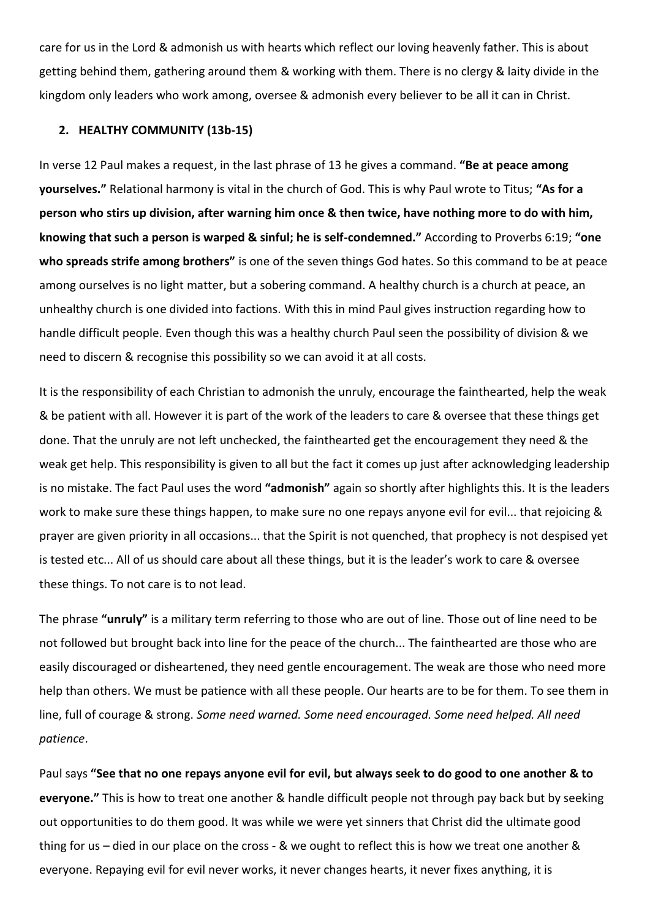care for us in the Lord & admonish us with hearts which reflect our loving heavenly father. This is about getting behind them, gathering around them & working with them. There is no clergy & laity divide in the kingdom only leaders who work among, oversee & admonish every believer to be all it can in Christ.

#### **2. HEALTHY COMMUNITY (13b-15)**

In verse 12 Paul makes a request, in the last phrase of 13 he gives a command. **"Be at peace among yourselves."** Relational harmony is vital in the church of God. This is why Paul wrote to Titus; **"As for a person who stirs up division, after warning him once & then twice, have nothing more to do with him, knowing that such a person is warped & sinful; he is self-condemned."** According to Proverbs 6:19; **"one who spreads strife among brothers"** is one of the seven things God hates. So this command to be at peace among ourselves is no light matter, but a sobering command. A healthy church is a church at peace, an unhealthy church is one divided into factions. With this in mind Paul gives instruction regarding how to handle difficult people. Even though this was a healthy church Paul seen the possibility of division & we need to discern & recognise this possibility so we can avoid it at all costs.

It is the responsibility of each Christian to admonish the unruly, encourage the fainthearted, help the weak & be patient with all. However it is part of the work of the leaders to care & oversee that these things get done. That the unruly are not left unchecked, the fainthearted get the encouragement they need & the weak get help. This responsibility is given to all but the fact it comes up just after acknowledging leadership is no mistake. The fact Paul uses the word **"admonish"** again so shortly after highlights this. It is the leaders work to make sure these things happen, to make sure no one repays anyone evil for evil... that rejoicing & prayer are given priority in all occasions... that the Spirit is not quenched, that prophecy is not despised yet is tested etc... All of us should care about all these things, but it is the leader's work to care & oversee these things. To not care is to not lead.

The phrase **"unruly"** is a military term referring to those who are out of line. Those out of line need to be not followed but brought back into line for the peace of the church... The fainthearted are those who are easily discouraged or disheartened, they need gentle encouragement. The weak are those who need more help than others. We must be patience with all these people. Our hearts are to be for them. To see them in line, full of courage & strong. *Some need warned. Some need encouraged. Some need helped. All need patience*.

Paul says **"See that no one repays anyone evil for evil, but always seek to do good to one another & to everyone."** This is how to treat one another & handle difficult people not through pay back but by seeking out opportunities to do them good. It was while we were yet sinners that Christ did the ultimate good thing for us – died in our place on the cross - & we ought to reflect this is how we treat one another & everyone. Repaying evil for evil never works, it never changes hearts, it never fixes anything, it is